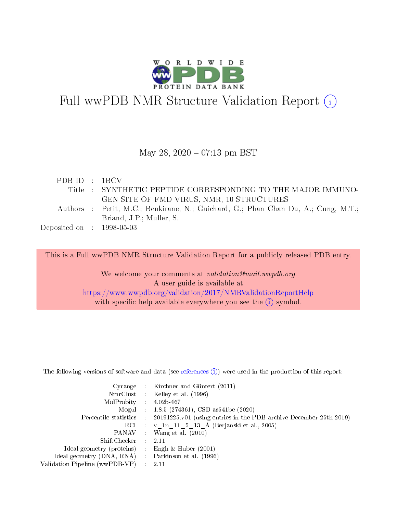

# Full wwPDB NMR Structure Validation Report (i)

### May 28,  $2020 - 07:13$  pm BST

| PDB ID : 1BCV                  |                                                                                   |
|--------------------------------|-----------------------------------------------------------------------------------|
|                                | Title : SYNTHETIC PEPTIDE CORRESPONDING TO THE MAJOR IMMUNO-                      |
|                                | GEN SITE OF FMD VIRUS, NMR, 10 STRUCTURES                                         |
|                                | Authors : Petit, M.C.; Benkirane, N.; Guichard, G.; Phan Chan Du, A.; Cung, M.T.; |
|                                | Briand, J.P.; Muller, S.                                                          |
| Deposited on $\,$ : 1998-05-03 |                                                                                   |
|                                |                                                                                   |

This is a Full wwPDB NMR Structure Validation Report for a publicly released PDB entry.

We welcome your comments at *validation@mail.wwpdb.org* A user guide is available at <https://www.wwpdb.org/validation/2017/NMRValidationReportHelp> with specific help available everywhere you see the  $(i)$  symbol.

The following versions of software and data (see [references](https://www.wwpdb.org/validation/2017/NMRValidationReportHelp#references)  $(1)$ ) were used in the production of this report:

|                                                     | Cyrange : Kirchner and Güntert $(2011)$                                                    |
|-----------------------------------------------------|--------------------------------------------------------------------------------------------|
|                                                     | NmrClust : Kelley et al. (1996)                                                            |
| MolProbity : $4.02b-467$                            |                                                                                            |
|                                                     | Mogul : $1.8.5$ (274361), CSD as 541be (2020)                                              |
|                                                     | Percentile statistics : 20191225.v01 (using entries in the PDB archive December 25th 2019) |
|                                                     | RCI : v 1n 11 5 13 A (Berjanski et al., 2005)                                              |
|                                                     | PANAV Wang et al. (2010)                                                                   |
| ShiftChecker 2.11                                   |                                                                                            |
| Ideal geometry (proteins) : Engh $\&$ Huber (2001)  |                                                                                            |
| Ideal geometry (DNA, RNA) : Parkinson et al. (1996) |                                                                                            |
| Validation Pipeline (wwPDB-VP) : 2.11               |                                                                                            |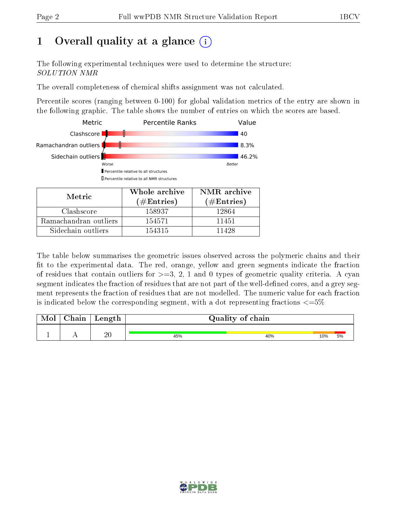## 1 [O](https://www.wwpdb.org/validation/2017/NMRValidationReportHelp#overall_quality)verall quality at a glance  $(i)$

The following experimental techniques were used to determine the structure: SOLUTION NMR

The overall completeness of chemical shifts assignment was not calculated.

Percentile scores (ranging between 0-100) for global validation metrics of the entry are shown in the following graphic. The table shows the number of entries on which the scores are based.



| Metric.               | Whole archive<br>$(\#\text{Entries})$ | NMR archive<br>$(\#\text{Entries})$ |
|-----------------------|---------------------------------------|-------------------------------------|
| Clashscore            | 158937                                | 12864                               |
| Ramachandran outliers | 154571                                | 11451                               |
| Sidechain outliers    | 154315                                | 11428                               |

The table below summarises the geometric issues observed across the polymeric chains and their fit to the experimental data. The red, orange, yellow and green segments indicate the fraction of residues that contain outliers for  $>=3, 2, 1$  and 0 types of geometric quality criteria. A cyan segment indicates the fraction of residues that are not part of the well-defined cores, and a grey segment represents the fraction of residues that are not modelled. The numeric value for each fraction is indicated below the corresponding segment, with a dot representing fractions  $\epsilon = 5\%$ 

| <b>Mol</b> | ${\bf Chain}$ | Length |     | Quality of chain |     |    |
|------------|---------------|--------|-----|------------------|-----|----|
|            |               | 20     | 45% | 40%              | 10% | 5% |

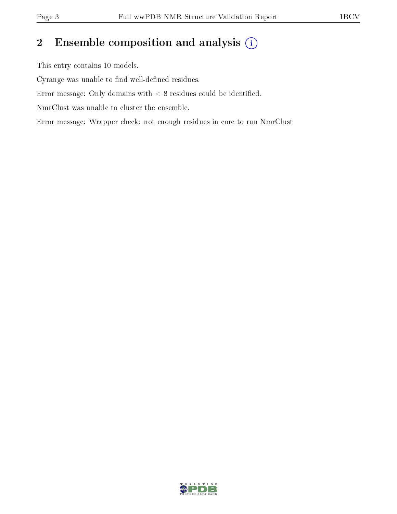## 2 Ensemble composition and analysis  $(i)$

This entry contains 10 models.

Cyrange was unable to find well-defined residues.

Error message: Only domains with  $< 8$  residues could be identified.

NmrClust was unable to cluster the ensemble.

Error message: Wrapper check: not enough residues in core to run NmrClust

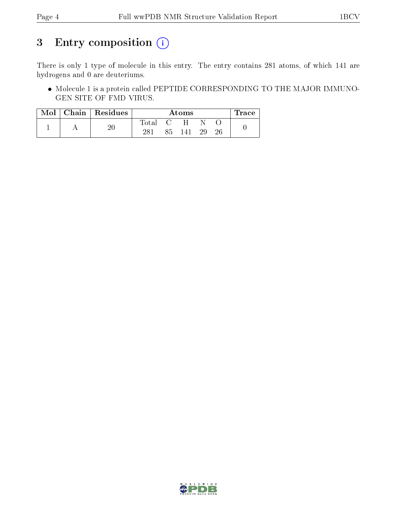## 3 Entry composition (i)

There is only 1 type of molecule in this entry. The entry contains 281 atoms, of which 141 are hydrogens and 0 are deuteriums.

 Molecule 1 is a protein called PEPTIDE CORRESPONDING TO THE MAJOR IMMUNO-GEN SITE OF FMD VIRUS.

|  |  | $Mol$   Chain   Residues |             | Atoms |        |      |    |  |
|--|--|--------------------------|-------------|-------|--------|------|----|--|
|  |  |                          | $\rm Total$ |       |        |      |    |  |
|  |  |                          | 281         |       | 85 141 | - 29 | 26 |  |

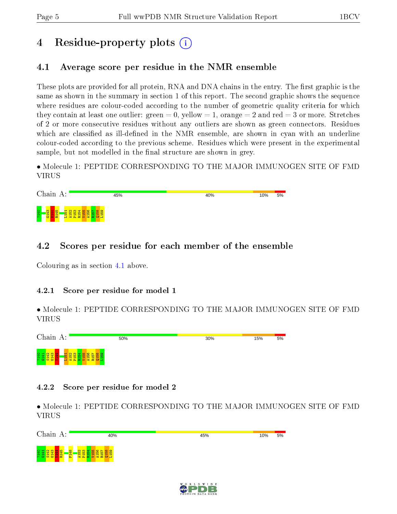## 4 Residue-property plots  $\binom{1}{1}$

## <span id="page-4-0"></span>4.1 Average score per residue in the NMR ensemble

These plots are provided for all protein, RNA and DNA chains in the entry. The first graphic is the same as shown in the summary in section 1 of this report. The second graphic shows the sequence where residues are colour-coded according to the number of geometric quality criteria for which they contain at least one outlier: green  $= 0$ , yellow  $= 1$ , orange  $= 2$  and red  $= 3$  or more. Stretches of 2 or more consecutive residues without any outliers are shown as green connectors. Residues which are classified as ill-defined in the NMR ensemble, are shown in cyan with an underline colour-coded according to the previous scheme. Residues which were present in the experimental sample, but not modelled in the final structure are shown in grey.

• Molecule 1: PEPTIDE CORRESPONDING TO THE MAJOR IMMUNOGEN SITE OF FMD VIRUS

| Chain<br>А:                                           | 45% | 40% | 10% | 5% |
|-------------------------------------------------------|-----|-----|-----|----|
| ?140<br>െ<br>ю<br>$\alpha$<br>œ<br>Æ<br>ಲ<br>▚<br>. . |     |     |     |    |

### 4.2 Scores per residue for each member of the ensemble

Colouring as in section [4.1](#page-4-0) above.

#### 4.2.1 Score per residue for model 1

• Molecule 1: PEPTIDE CORRESPONDING TO THE MAJOR IMMUNOGEN SITE OF FMD VIRUS



#### 4.2.2 Score per residue for model 2

• Molecule 1: PEPTIDE CORRESPONDING TO THE MAJOR IMMUNOGEN SITE OF FMD VIRUS



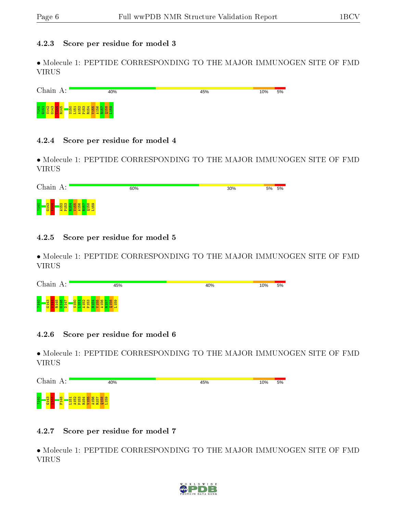#### 4.2.3 Score per residue for model 3

• Molecule 1: PEPTIDE CORRESPONDING TO THE MAJOR IMMUNOGEN SITE OF FMD VIRUS

| Chain A:                                                 | 40%                                                                              | 45% | 10% | 5% |
|----------------------------------------------------------|----------------------------------------------------------------------------------|-----|-----|----|
| 141<br>141<br>က<br>Iю<br>انعا<br>$\sim$ 0 $\mu$ 0 $\sim$ | <b>JUNE 107</b><br>- ത ത<br>$\sim$<br>- 110<br>4A B<br>$\mathbf{m}$ $\mathbf{m}$ |     |     |    |

#### 4.2.4 Score per residue for model 4

• Molecule 1: PEPTIDE CORRESPONDING TO THE MAJOR IMMUNOGEN SITE OF FMD VIRUS

| Chain<br>А:    | 60%                                             | 30% | 5%<br>5% |
|----------------|-------------------------------------------------|-----|----------|
| ?140<br>ю<br>ᄖ | $\infty$ $\infty$<br>$\circ$<br>$\sigma$ $\Box$ |     |          |

#### 4.2.5 Score per residue for model 5

• Molecule 1: PEPTIDE CORRESPONDING TO THE MAJOR IMMUNOGEN SITE OF FMD VIRUS

| Chain<br>A:                        | 45%             | 40% | 10% | 5% |
|------------------------------------|-----------------|-----|-----|----|
| 2140<br>Œ.<br>$\mathbf{C}$<br>் செ | ∞ തി<br>$\circ$ |     |     |    |

#### 4.2.6 Score per residue for model 6

• Molecule 1: PEPTIDE CORRESPONDING TO THE MAJOR IMMUNOGEN SITE OF FMD VIRUS



#### 4.2.7 Score per residue for model 7

• Molecule 1: PEPTIDE CORRESPONDING TO THE MAJOR IMMUNOGEN SITE OF FMD VIRUS

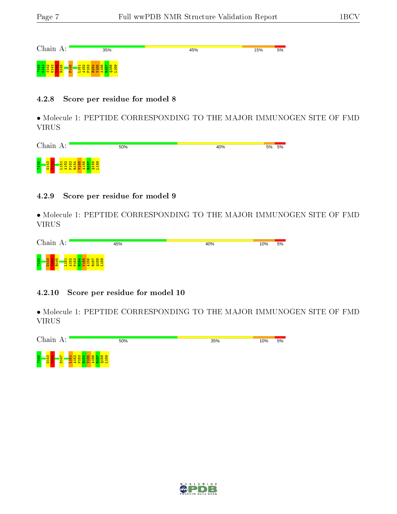

#### 4.2.8 Score per residue for model 8

• Molecule 1: PEPTIDE CORRESPONDING TO THE MAJOR IMMUNOGEN SITE OF FMD VIRUS



#### 4.2.9 Score per residue for model 9

• Molecule 1: PEPTIDE CORRESPONDING TO THE MAJOR IMMUNOGEN SITE OF FMD VIRUS



#### 4.2.10 Score per residue for model 10

• Molecule 1: PEPTIDE CORRESPONDING TO THE MAJOR IMMUNOGEN SITE OF FMD VIRUS



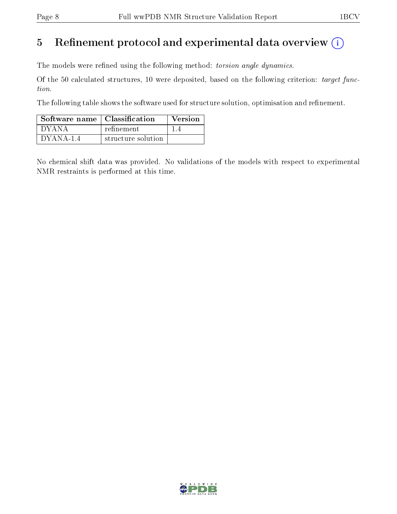## 5 Refinement protocol and experimental data overview  $\binom{1}{k}$

The models were refined using the following method: torsion angle dynamics.

Of the 50 calculated structures, 10 were deposited, based on the following criterion: target function.

The following table shows the software used for structure solution, optimisation and refinement.

| Software name   Classification |                    | Version |
|--------------------------------|--------------------|---------|
| † DYANA                        | refinement         |         |
| $\overline{DYANA-1.4}$         | structure solution |         |

No chemical shift data was provided. No validations of the models with respect to experimental NMR restraints is performed at this time.

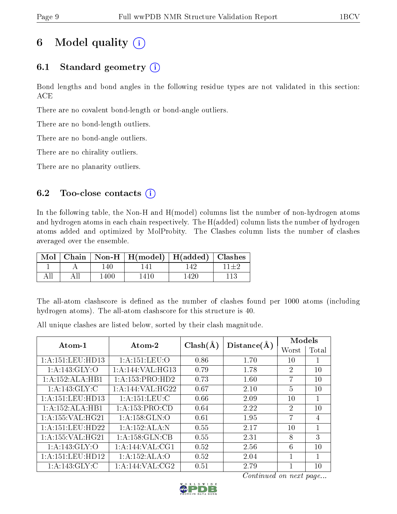## 6 Model quality  $(i)$

## 6.1 Standard geometry  $(i)$

Bond lengths and bond angles in the following residue types are not validated in this section: ACE

There are no covalent bond-length or bond-angle outliers.

There are no bond-length outliers.

There are no bond-angle outliers.

There are no chirality outliers.

There are no planarity outliers.

### 6.2 Too-close contacts  $(i)$

In the following table, the Non-H and H(model) columns list the number of non-hydrogen atoms and hydrogen atoms in each chain respectively. The H(added) column lists the number of hydrogen atoms added and optimized by MolProbity. The Clashes column lists the number of clashes averaged over the ensemble.

|  |      | Mol   Chain   Non-H   H(model)   H(added)   Clashes |      |      |
|--|------|-----------------------------------------------------|------|------|
|  | 140  | 141                                                 | 142  | 11年9 |
|  | 1400 | 1410                                                | 1420 |      |

The all-atom clashscore is defined as the number of clashes found per 1000 atoms (including hydrogen atoms). The all-atom clashscore for this structure is 40.

All unique clashes are listed below, sorted by their clash magnitude.

| Atom-1               | Atom-2             | $Clash(\AA)$ | Distance(A) | Models         |                |
|----------------------|--------------------|--------------|-------------|----------------|----------------|
|                      |                    |              |             | Worst          | Total          |
| 1:A:151:LEU:HD13     | 1: A: 151: LEU: O  | 0.86         | 1.70        | 10             |                |
| 1: A:143: GLY:O      | 1: A:144: VAL:HG13 | 0.79         | 1.78        | $\overline{2}$ | 10             |
| 1:A:152:ALA:HB1      | 1:A:153:PRO:HD2    | 0.73         | 1.60        | 7              | 10             |
| 1: A:143: GLY: C     | 1: A:144: VAL:HG22 | 0.67         | 2.10        | 5              | 10             |
| 1:A:151:LEU:HD13     | 1: A: 151: LEU: C  | 0.66         | 2.09        | $10\,$         | 1              |
| 1:A:152:ALA:HB1      | 1:A:153:PRO:CD     | 0.64         | 2.22        | 2              | 10             |
| 1: A: 155: VAL: HG21 | 1: A: 158: GLN: O  | 0.61         | 1.95        | 7              | $\overline{4}$ |
| 1:A:151:LEU:HD22     | 1:A:152:ALA:N      | 0.55         | 2.17        | $10\,$         | 1              |
| 1:A:155:VAL:HG21     | 1:A:158:GLN:CB     | 0.55         | 2.31        | 8              | 3              |
| 1: A:143: GLY:O      | 1: A:144: VAL:CG1  | 0.52         | 2.56        | 6              | 10             |
| 1:A:151:LEU:HD12     | 1:A:152:ALA:O      | 0.52         | 2.04        |                | 1              |
| 1:A:143:GLY:C        | 1: A:144: VAL: CG2 | 0.51         | 2.79        |                | 10             |

Continued on next page...

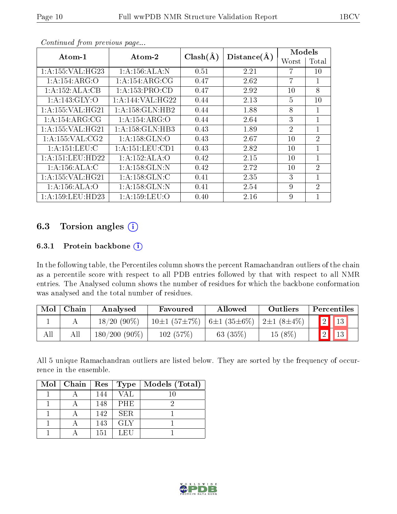|                      |                     |              |             | Models         |                |
|----------------------|---------------------|--------------|-------------|----------------|----------------|
| Atom-1               | Atom-2              | $Clash(\AA)$ | Distance(A) | Worst          | Total          |
| 1:A:155:VAL:HG23     | 1:A:156:ALA:N       | 0.51         | 2.21        | 7              | 10             |
| 1:A:154:ARG:O        | 1: A:154: ARG: CG   | 0.47         | 2.62        | 7              | $\mathbf{1}$   |
| 1:A:152:ALA:CB       | 1:A:153:PRO:CD      | 0.47         | 2.92        | 10             | 8              |
| 1: A:143: GLY:O      | 1: A:144: VAL:HG22  | 0.44         | 2.13        | 5              | 10             |
| 1: A: 155: VAL: HG21 | 1: A: 158: GLN: HB2 | 0.44         | 1.88        | 8              | $\mathbf{1}$   |
| 1:A:154:ARG:CG       | 1:A:154:ARG:O       | 0.44         | 2.64        | 3              | $\mathbf{1}$   |
| 1:A:155:VAL:HG21     | 1: A: 158: GLN: HB3 | 0.43         | 1.89        | $\overline{2}$ | $\mathbf{1}$   |
| 1: A: 155: VAL: CG2  | 1: A: 158: GLN: O   | 0.43         | 2.67        | 10             | $\overline{2}$ |
| 1: A: 151: LEU: C    | 1: A: 151: LEU: CD1 | 0.43         | 2.82        | 10             | $\mathbf{1}$   |
| 1:A:151:LEU:HD22     | 1:A:152:ALA:O       | 0.42         | 2.15        | 10             | 1              |
| 1:A:156:ALA:C        | 1: A: 158: GLN:N    | 0.42         | 2.72        | 10             | $\overline{2}$ |
| 1: A: 155: VAL: HG21 | 1:A:158:GLN:C       | 0.41         | 2.35        | 3              | $\mathbf{1}$   |
| 1:A:156:ALA:O        | 1: A: 158: GLN: N   | 0.41         | 2.54        | 9              | $\overline{2}$ |
| 1:A:159:LEU:HD23     | 1: A: 159: LEU: O   | 0.40         | 2.16        | 9              | 1              |

Continued from previous page...

## 6.3 Torsion angles  $(i)$

#### 6.3.1 Protein backbone (i)

In the following table, the Percentiles column shows the percent Ramachandran outliers of the chain as a percentile score with respect to all PDB entries followed by that with respect to all NMR entries. The Analysed column shows the number of residues for which the backbone conformation was analysed and the total number of residues.

| Mol | Chain | Analysed        | Favoured                       | Allowed    | Outliers          | Percentiles          |
|-----|-------|-----------------|--------------------------------|------------|-------------------|----------------------|
|     |       | $18/20(90\%)$   | $10\pm1$ (57±7%)   6±1 (35±6%) |            | $ 2\pm1(8\pm4\%)$ | 2 <br>$\parallel$ 13 |
| All |       | $180/200(90\%)$ | 102(57%)                       | 63 $(35%)$ | $15~(8\%)$        |                      |

All 5 unique Ramachandran outliers are listed below. They are sorted by the frequency of occurrence in the ensemble.

| $Mol$   Chain   Res |     | Type       | Models (Total) |
|---------------------|-----|------------|----------------|
|                     | 144 | VAL        | 10             |
|                     | 148 | PHE        |                |
|                     | 142 | SER.       |                |
|                     | 143 | <b>GLY</b> |                |
|                     | 151 | LEU        |                |

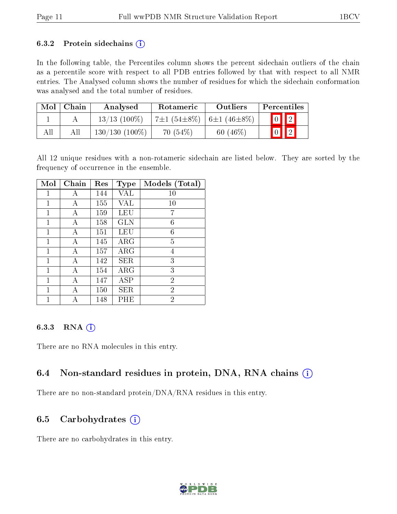#### 6.3.2 Protein sidechains  $(i)$

In the following table, the Percentiles column shows the percent sidechain outliers of the chain as a percentile score with respect to all PDB entries followed by that with respect to all NMR entries. The Analysed column shows the number of residues for which the sidechain conformation was analysed and the total number of residues.

| Mol | Chain | Analysed          | Rotameric               | Outliers          | Percentiles             |
|-----|-------|-------------------|-------------------------|-------------------|-------------------------|
|     |       | $13/13$ $(100\%)$ | 7 $\pm$ 1 (54 $\pm$ 8%) | $6\pm1(46\pm8\%)$ | $\boxed{0}$ $\boxed{2}$ |
| All |       | $130/130(100\%)$  | 70(54%)                 | 60 $(46\%)$       | $\vert 0 \vert$         |

All 12 unique residues with a non-rotameric sidechain are listed below. They are sorted by the frequency of occurrence in the ensemble.

| Mol          | Chain | Res | <b>Type</b> | Models (Total) |
|--------------|-------|-----|-------------|----------------|
| 1            |       | 144 | VAL         | 10             |
| 1            | А     | 155 | VAL         | 10             |
| 1            | А     | 159 | LEU         | 7              |
| 1            | Α     | 158 | GLN         | 6              |
| 1            | А     | 151 | LEU         | 6              |
| 1            | А     | 145 | ARG         | 5              |
| 1            | Α     | 157 | $\rm{ARG}$  | 4              |
| $\mathbf{1}$ | А     | 142 | <b>SER</b>  | 3              |
| 1            | А     | 154 | ARG         | 3              |
| 1            | А     | 147 | ASP         | $\overline{2}$ |
| 1            | А     | 150 | <b>SER</b>  | $\overline{2}$ |
|              |       | 148 | ΗE          | $\overline{2}$ |

#### 6.3.3 RNA  $(i)$

There are no RNA molecules in this entry.

### 6.4 Non-standard residues in protein, DNA, RNA chains  $(i)$

There are no non-standard protein/DNA/RNA residues in this entry.

### 6.5 Carbohydrates  $(i)$

There are no carbohydrates in this entry.

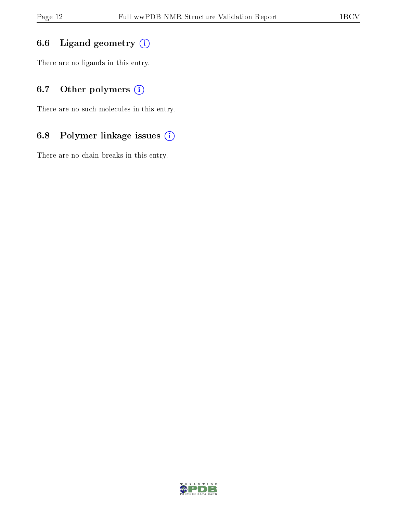## 6.6 Ligand geometry  $(i)$

There are no ligands in this entry.

## 6.7 [O](https://www.wwpdb.org/validation/2017/NMRValidationReportHelp#nonstandard_residues_and_ligands)ther polymers (i)

There are no such molecules in this entry.

## 6.8 Polymer linkage issues (i)

There are no chain breaks in this entry.